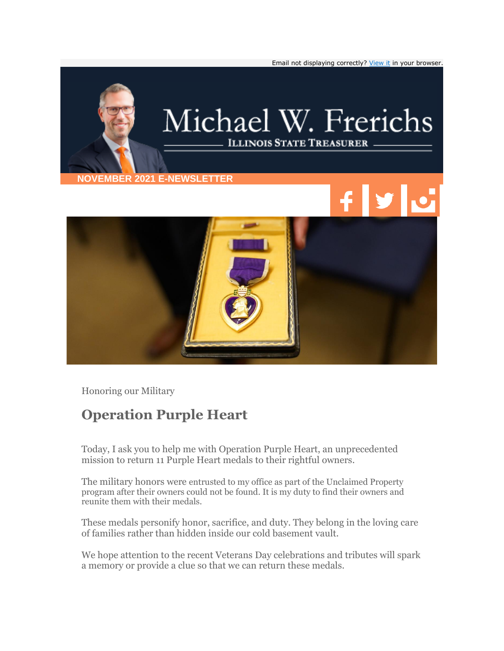

Honoring our Military

## **Operation Purple Heart**

Today, I ask you to help me with Operation Purple Heart, an unprecedented mission to return 11 Purple Heart medals to their rightful owners.

The military honors were entrusted to my office as part of the Unclaimed Property program after their owners could not be found. It is my duty to find their owners and reunite them with their medals.

These medals personify honor, sacrifice, and duty. They belong in the loving care of families rather than hidden inside our cold basement vault.

We hope attention to the recent Veterans Day celebrations and tributes will spark a memory or provide a clue so that we can return these medals.